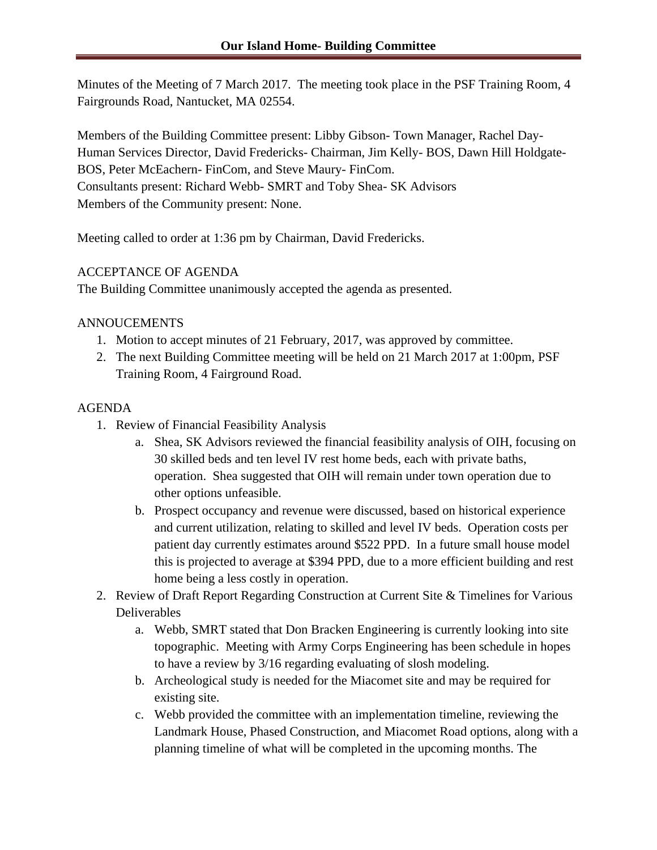Minutes of the Meeting of 7 March 2017. The meeting took place in the PSF Training Room, 4 Fairgrounds Road, Nantucket, MA 02554.

Members of the Building Committee present: Libby Gibson- Town Manager, Rachel Day-Human Services Director, David Fredericks- Chairman, Jim Kelly- BOS, Dawn Hill Holdgate-BOS, Peter McEachern- FinCom, and Steve Maury- FinCom. Consultants present: Richard Webb- SMRT and Toby Shea- SK Advisors Members of the Community present: None.

Meeting called to order at 1:36 pm by Chairman, David Fredericks.

## ACCEPTANCE OF AGENDA

The Building Committee unanimously accepted the agenda as presented.

## ANNOUCEMENTS

- 1. Motion to accept minutes of 21 February, 2017, was approved by committee.
- 2. The next Building Committee meeting will be held on 21 March 2017 at 1:00pm, PSF Training Room, 4 Fairground Road.

## AGENDA

- 1. Review of Financial Feasibility Analysis
	- a. Shea, SK Advisors reviewed the financial feasibility analysis of OIH, focusing on 30 skilled beds and ten level IV rest home beds, each with private baths, operation. Shea suggested that OIH will remain under town operation due to other options unfeasible.
	- b. Prospect occupancy and revenue were discussed, based on historical experience and current utilization, relating to skilled and level IV beds. Operation costs per patient day currently estimates around \$522 PPD. In a future small house model this is projected to average at \$394 PPD, due to a more efficient building and rest home being a less costly in operation.
- 2. Review of Draft Report Regarding Construction at Current Site & Timelines for Various Deliverables
	- a. Webb, SMRT stated that Don Bracken Engineering is currently looking into site topographic. Meeting with Army Corps Engineering has been schedule in hopes to have a review by 3/16 regarding evaluating of slosh modeling.
	- b. Archeological study is needed for the Miacomet site and may be required for existing site.
	- c. Webb provided the committee with an implementation timeline, reviewing the Landmark House, Phased Construction, and Miacomet Road options, along with a planning timeline of what will be completed in the upcoming months. The